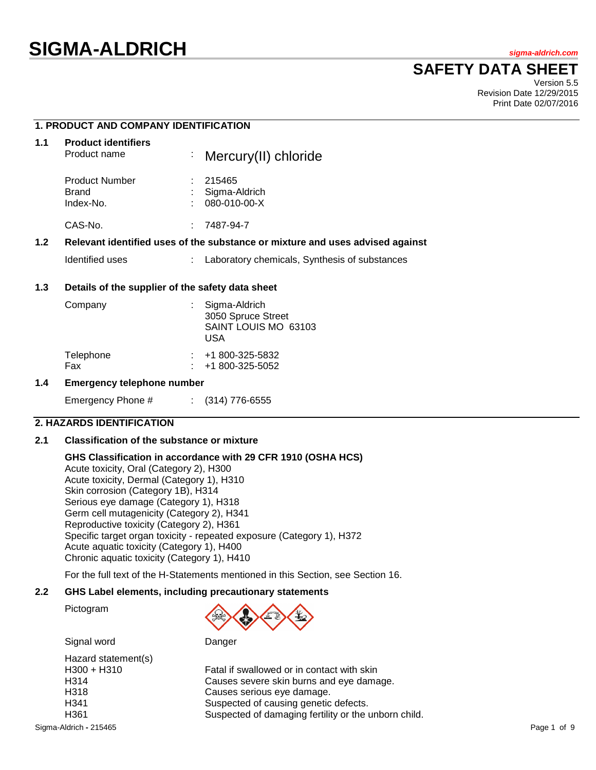# **SIGMA-ALDRICH** *sigma-aldrich.com*

## **SAFETY DATA SHEET**

Version 5.5 Revision Date 12/29/2015 Print Date 02/07/2016

## **1. PRODUCT AND COMPANY IDENTIFICATION**

| 1.1 | <b>Product identifiers</b><br>Product name  |   | : Mercury(II) chloride                                                        |
|-----|---------------------------------------------|---|-------------------------------------------------------------------------------|
|     | <b>Product Number</b><br>Brand<br>Index-No. |   | 215465<br>Sigma-Aldrich<br>080-010-00-X                                       |
|     | CAS-No.                                     | ÷ | 7487-94-7                                                                     |
| 1.2 |                                             |   | Relevant identified uses of the substance or mixture and uses advised against |

Identified uses : Laboratory chemicals, Synthesis of substances

#### **1.3 Details of the supplier of the safety data sheet**

| Company          | Sigma-Aldrich<br>3050 Spruce Street<br>SAINT LOUIS MO 63103<br>USA |
|------------------|--------------------------------------------------------------------|
| Telephone<br>Fax | $\div$ +1 800-325-5832<br>$: 41800 - 325 - 5052$                   |

#### **1.4 Emergency telephone number**

Emergency Phone # : (314) 776-6555

#### **2. HAZARDS IDENTIFICATION**

#### **2.1 Classification of the substance or mixture**

#### **GHS Classification in accordance with 29 CFR 1910 (OSHA HCS)**

Acute toxicity, Oral (Category 2), H300 Acute toxicity, Dermal (Category 1), H310 Skin corrosion (Category 1B), H314 Serious eye damage (Category 1), H318 Germ cell mutagenicity (Category 2), H341 Reproductive toxicity (Category 2), H361 Specific target organ toxicity - repeated exposure (Category 1), H372 Acute aquatic toxicity (Category 1), H400 Chronic aquatic toxicity (Category 1), H410

For the full text of the H-Statements mentioned in this Section, see Section 16.

## **2.2 GHS Label elements, including precautionary statements**

Pictogram



Signal word Danger

| Hazard statement(s) |
|---------------------|
| H300 + H310         |
| H314                |
| H318                |
| H341                |
| H361                |
|                     |

Fatal if swallowed or in contact with skin Causes severe skin burns and eye damage. Causes serious eye damage. Suspected of causing genetic defects. Suspected of damaging fertility or the unborn child.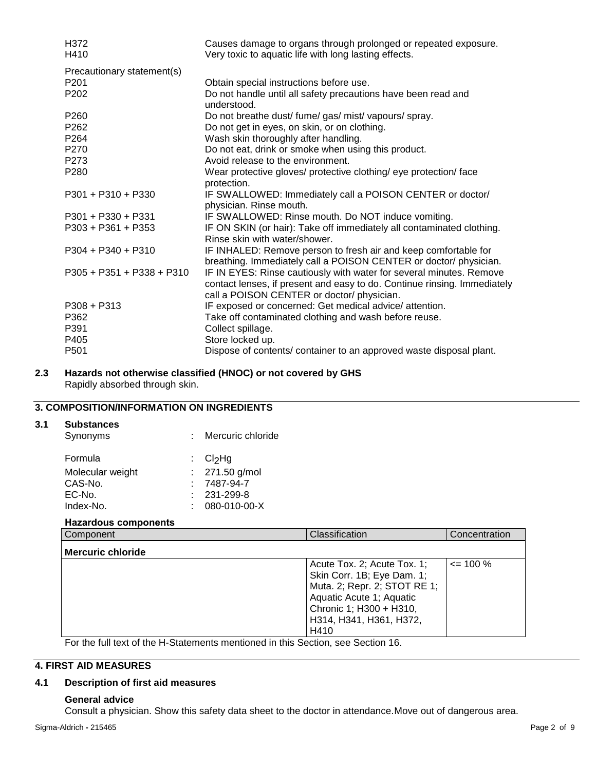| Causes damage to organs through prolonged or repeated exposure.                                                                                                                               |
|-----------------------------------------------------------------------------------------------------------------------------------------------------------------------------------------------|
| Very toxic to aquatic life with long lasting effects.                                                                                                                                         |
|                                                                                                                                                                                               |
| Obtain special instructions before use.                                                                                                                                                       |
| Do not handle until all safety precautions have been read and<br>understood.                                                                                                                  |
| Do not breathe dust/ fume/ gas/ mist/ vapours/ spray.                                                                                                                                         |
| Do not get in eyes, on skin, or on clothing.                                                                                                                                                  |
| Wash skin thoroughly after handling.                                                                                                                                                          |
| Do not eat, drink or smoke when using this product.                                                                                                                                           |
| Avoid release to the environment.                                                                                                                                                             |
| Wear protective gloves/ protective clothing/ eye protection/ face<br>protection.                                                                                                              |
| IF SWALLOWED: Immediately call a POISON CENTER or doctor/<br>physician. Rinse mouth.                                                                                                          |
| IF SWALLOWED: Rinse mouth. Do NOT induce vomiting.                                                                                                                                            |
| IF ON SKIN (or hair): Take off immediately all contaminated clothing.<br>Rinse skin with water/shower.                                                                                        |
| IF INHALED: Remove person to fresh air and keep comfortable for<br>breathing. Immediately call a POISON CENTER or doctor/ physician.                                                          |
| IF IN EYES: Rinse cautiously with water for several minutes. Remove<br>contact lenses, if present and easy to do. Continue rinsing. Immediately<br>call a POISON CENTER or doctor/ physician. |
| IF exposed or concerned: Get medical advice/attention.                                                                                                                                        |
| Take off contaminated clothing and wash before reuse.                                                                                                                                         |
| Collect spillage.                                                                                                                                                                             |
| Store locked up.                                                                                                                                                                              |
| Dispose of contents/ container to an approved waste disposal plant.                                                                                                                           |
|                                                                                                                                                                                               |

## **2.3 Hazards not otherwise classified (HNOC) or not covered by GHS** Rapidly absorbed through skin.

## **3. COMPOSITION/INFORMATION ON INGREDIENTS**

#### **3.1 Substances**

| Synonyms         | : Mercuric chloride |
|------------------|---------------------|
| Formula          | : $Cl2Hg$           |
| Molecular weight | : $271.50$ g/mol    |
| CAS-No.          | 7487-94-7           |
| EC-No.           | $: 231 - 299 - 8$   |
| Index-No.        | 080-010-00-X        |
|                  |                     |

## **Hazardous components**

| Component                | Classification                                                                                                                                                                      | Concentration |
|--------------------------|-------------------------------------------------------------------------------------------------------------------------------------------------------------------------------------|---------------|
| <b>Mercuric chloride</b> |                                                                                                                                                                                     |               |
|                          | Acute Tox. 2; Acute Tox. 1;<br>Skin Corr. 1B; Eye Dam. 1;<br>Muta. 2; Repr. 2; STOT RE 1;<br>Aquatic Acute 1; Aquatic<br>Chronic 1; H300 + H310,<br>H314, H341, H361, H372,<br>H410 | $\leq$ 100 %  |

For the full text of the H-Statements mentioned in this Section, see Section 16.

## **4. FIRST AID MEASURES**

## **4.1 Description of first aid measures**

#### **General advice**

Consult a physician. Show this safety data sheet to the doctor in attendance.Move out of dangerous area.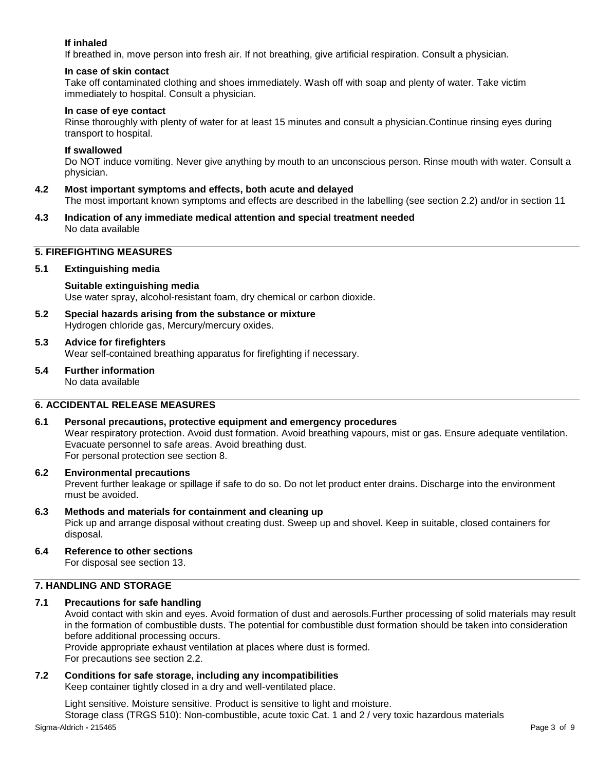## **If inhaled**

If breathed in, move person into fresh air. If not breathing, give artificial respiration. Consult a physician.

#### **In case of skin contact**

Take off contaminated clothing and shoes immediately. Wash off with soap and plenty of water. Take victim immediately to hospital. Consult a physician.

#### **In case of eye contact**

Rinse thoroughly with plenty of water for at least 15 minutes and consult a physician.Continue rinsing eyes during transport to hospital.

#### **If swallowed**

Do NOT induce vomiting. Never give anything by mouth to an unconscious person. Rinse mouth with water. Consult a physician.

**4.2 Most important symptoms and effects, both acute and delayed**

The most important known symptoms and effects are described in the labelling (see section 2.2) and/or in section 11

**4.3 Indication of any immediate medical attention and special treatment needed** No data available

## **5. FIREFIGHTING MEASURES**

#### **5.1 Extinguishing media**

## **Suitable extinguishing media**

Use water spray, alcohol-resistant foam, dry chemical or carbon dioxide.

- **5.2 Special hazards arising from the substance or mixture** Hydrogen chloride gas, Mercury/mercury oxides.
- **5.3 Advice for firefighters** Wear self-contained breathing apparatus for firefighting if necessary.
- **5.4 Further information** No data available

## **6. ACCIDENTAL RELEASE MEASURES**

#### **6.1 Personal precautions, protective equipment and emergency procedures**

Wear respiratory protection. Avoid dust formation. Avoid breathing vapours, mist or gas. Ensure adequate ventilation. Evacuate personnel to safe areas. Avoid breathing dust. For personal protection see section 8.

#### **6.2 Environmental precautions**

Prevent further leakage or spillage if safe to do so. Do not let product enter drains. Discharge into the environment must be avoided.

#### **6.3 Methods and materials for containment and cleaning up**

Pick up and arrange disposal without creating dust. Sweep up and shovel. Keep in suitable, closed containers for disposal.

**6.4 Reference to other sections**

For disposal see section 13.

#### **7. HANDLING AND STORAGE**

## **7.1 Precautions for safe handling**

Avoid contact with skin and eyes. Avoid formation of dust and aerosols.Further processing of solid materials may result in the formation of combustible dusts. The potential for combustible dust formation should be taken into consideration before additional processing occurs.

Provide appropriate exhaust ventilation at places where dust is formed. For precautions see section 2.2.

#### **7.2 Conditions for safe storage, including any incompatibilities** Keep container tightly closed in a dry and well-ventilated place.

Sigma-Aldrich **-** 215465 Page 3 of 9 Light sensitive. Moisture sensitive. Product is sensitive to light and moisture. Storage class (TRGS 510): Non-combustible, acute toxic Cat. 1 and 2 / very toxic hazardous materials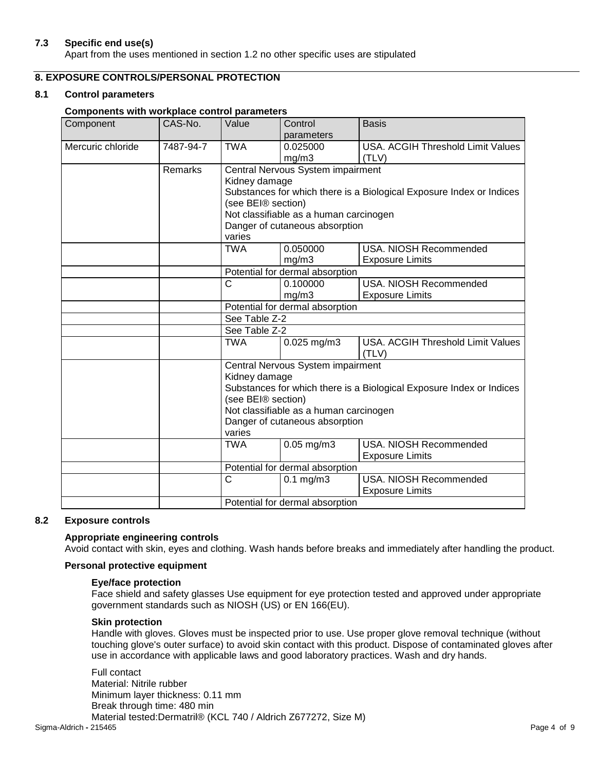#### **7.3 Specific end use(s)**

Apart from the uses mentioned in section 1.2 no other specific uses are stipulated

## **8. EXPOSURE CONTROLS/PERSONAL PROTECTION**

#### **8.1 Control parameters**

#### **Components with workplace control parameters**

| Component         | CAS-No.                                                              | Value                                                                                          | Control                                | <b>Basis</b>                                                         |  |  |
|-------------------|----------------------------------------------------------------------|------------------------------------------------------------------------------------------------|----------------------------------------|----------------------------------------------------------------------|--|--|
|                   |                                                                      |                                                                                                | parameters                             |                                                                      |  |  |
| Mercuric chloride | 7487-94-7                                                            | <b>TWA</b>                                                                                     | 0.025000                               | <b>USA. ACGIH Threshold Limit Values</b>                             |  |  |
|                   |                                                                      |                                                                                                | mg/m3                                  | (TLV)                                                                |  |  |
|                   | Remarks                                                              |                                                                                                | Central Nervous System impairment      |                                                                      |  |  |
|                   |                                                                      |                                                                                                | Kidney damage                          |                                                                      |  |  |
|                   |                                                                      |                                                                                                |                                        | Substances for which there is a Biological Exposure Index or Indices |  |  |
|                   |                                                                      | (see BEI® section)                                                                             |                                        |                                                                      |  |  |
|                   |                                                                      |                                                                                                | Not classifiable as a human carcinogen |                                                                      |  |  |
|                   |                                                                      |                                                                                                | Danger of cutaneous absorption         |                                                                      |  |  |
|                   |                                                                      | varies                                                                                         |                                        |                                                                      |  |  |
|                   |                                                                      | <b>TWA</b>                                                                                     | 0.050000                               | USA. NIOSH Recommended                                               |  |  |
|                   |                                                                      |                                                                                                | mg/m3                                  | <b>Exposure Limits</b>                                               |  |  |
|                   |                                                                      |                                                                                                | Potential for dermal absorption        |                                                                      |  |  |
|                   |                                                                      | $\mathsf{C}$                                                                                   | 0.100000                               | USA, NIOSH Recommended                                               |  |  |
|                   |                                                                      |                                                                                                | mg/m3                                  | <b>Exposure Limits</b>                                               |  |  |
|                   |                                                                      | Potential for dermal absorption<br>See Table Z-2                                               |                                        |                                                                      |  |  |
|                   |                                                                      |                                                                                                |                                        |                                                                      |  |  |
|                   |                                                                      | See Table Z-2                                                                                  |                                        |                                                                      |  |  |
|                   |                                                                      | <b>TWA</b>                                                                                     | 0.025 mg/m3                            | USA. ACGIH Threshold Limit Values                                    |  |  |
|                   |                                                                      |                                                                                                |                                        | (TLV)                                                                |  |  |
|                   |                                                                      |                                                                                                | Central Nervous System impairment      |                                                                      |  |  |
|                   |                                                                      | Kidney damage                                                                                  |                                        |                                                                      |  |  |
|                   | Substances for which there is a Biological Exposure Index or Indices |                                                                                                |                                        |                                                                      |  |  |
|                   |                                                                      | (see BEI® section)<br>Not classifiable as a human carcinogen<br>Danger of cutaneous absorption |                                        |                                                                      |  |  |
|                   |                                                                      |                                                                                                |                                        |                                                                      |  |  |
|                   |                                                                      |                                                                                                |                                        |                                                                      |  |  |
|                   |                                                                      | varies                                                                                         |                                        |                                                                      |  |  |
|                   |                                                                      | <b>TWA</b>                                                                                     | $0.05$ mg/m $3$                        | <b>USA. NIOSH Recommended</b>                                        |  |  |
|                   |                                                                      |                                                                                                |                                        | <b>Exposure Limits</b>                                               |  |  |
|                   |                                                                      |                                                                                                | Potential for dermal absorption        |                                                                      |  |  |
|                   |                                                                      | $\mathsf{C}$                                                                                   | $0.1$ mg/m $3$                         | <b>USA. NIOSH Recommended</b>                                        |  |  |
|                   |                                                                      |                                                                                                |                                        | <b>Exposure Limits</b>                                               |  |  |
|                   |                                                                      | Potential for dermal absorption                                                                |                                        |                                                                      |  |  |

#### **8.2 Exposure controls**

#### **Appropriate engineering controls**

Avoid contact with skin, eyes and clothing. Wash hands before breaks and immediately after handling the product.

#### **Personal protective equipment**

#### **Eye/face protection**

Face shield and safety glasses Use equipment for eye protection tested and approved under appropriate government standards such as NIOSH (US) or EN 166(EU).

#### **Skin protection**

Handle with gloves. Gloves must be inspected prior to use. Use proper glove removal technique (without touching glove's outer surface) to avoid skin contact with this product. Dispose of contaminated gloves after use in accordance with applicable laws and good laboratory practices. Wash and dry hands.

Sigma-Aldrich **-** 215465 Page 4 of 9 Full contact Material: Nitrile rubber Minimum layer thickness: 0.11 mm Break through time: 480 min Material tested:Dermatril® (KCL 740 / Aldrich Z677272, Size M)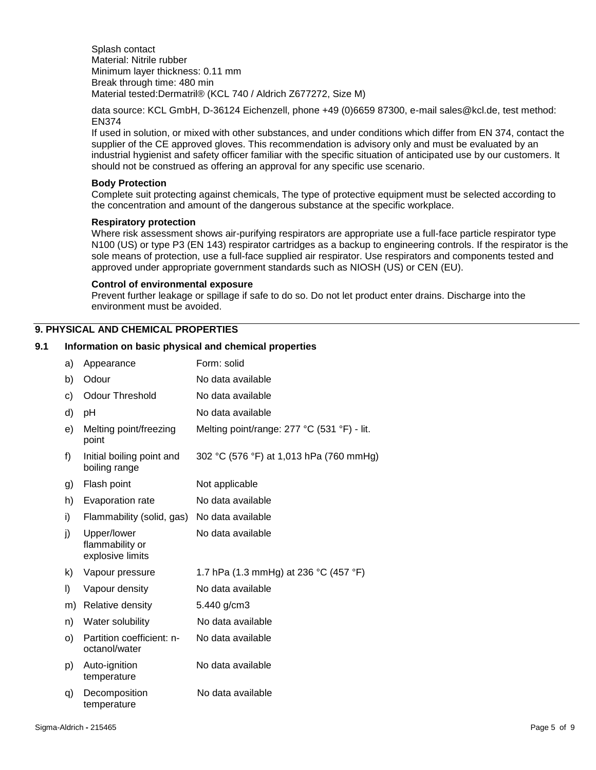Splash contact Material: Nitrile rubber Minimum layer thickness: 0.11 mm Break through time: 480 min Material tested:Dermatril® (KCL 740 / Aldrich Z677272, Size M)

data source: KCL GmbH, D-36124 Eichenzell, phone +49 (0)6659 87300, e-mail sales@kcl.de, test method: EN374

If used in solution, or mixed with other substances, and under conditions which differ from EN 374, contact the supplier of the CE approved gloves. This recommendation is advisory only and must be evaluated by an industrial hygienist and safety officer familiar with the specific situation of anticipated use by our customers. It should not be construed as offering an approval for any specific use scenario.

#### **Body Protection**

Complete suit protecting against chemicals, The type of protective equipment must be selected according to the concentration and amount of the dangerous substance at the specific workplace.

#### **Respiratory protection**

Where risk assessment shows air-purifying respirators are appropriate use a full-face particle respirator type N100 (US) or type P3 (EN 143) respirator cartridges as a backup to engineering controls. If the respirator is the sole means of protection, use a full-face supplied air respirator. Use respirators and components tested and approved under appropriate government standards such as NIOSH (US) or CEN (EU).

#### **Control of environmental exposure**

Prevent further leakage or spillage if safe to do so. Do not let product enter drains. Discharge into the environment must be avoided.

## **9. PHYSICAL AND CHEMICAL PROPERTIES**

#### **9.1 Information on basic physical and chemical properties**

| a) | Appearance                                         | Form: solid                                 |
|----|----------------------------------------------------|---------------------------------------------|
| b) | Odour                                              | No data available                           |
| c) | <b>Odour Threshold</b>                             | No data available                           |
| d) | рH                                                 | No data available                           |
| e) | Melting point/freezing<br>point                    | Melting point/range: 277 °C (531 °F) - lit. |
| f) | Initial boiling point and<br>boiling range         | 302 °C (576 °F) at 1,013 hPa (760 mmHg)     |
| g) | Flash point                                        | Not applicable                              |
| h) | Evaporation rate                                   | No data available                           |
| i) | Flammability (solid, gas)                          | No data available                           |
| j) | Upper/lower<br>flammability or<br>explosive limits | No data available                           |
| k) | Vapour pressure                                    | 1.7 hPa (1.3 mmHg) at 236 °C (457 °F)       |
| I) | Vapour density                                     | No data available                           |
| m) | Relative density                                   | 5.440 g/cm3                                 |
| n) | Water solubility                                   | No data available                           |
| o) | Partition coefficient: n-<br>octanol/water         | No data available                           |
| p) | Auto-ignition<br>temperature                       | No data available                           |
| q) | Decomposition<br>temperature                       | No data available                           |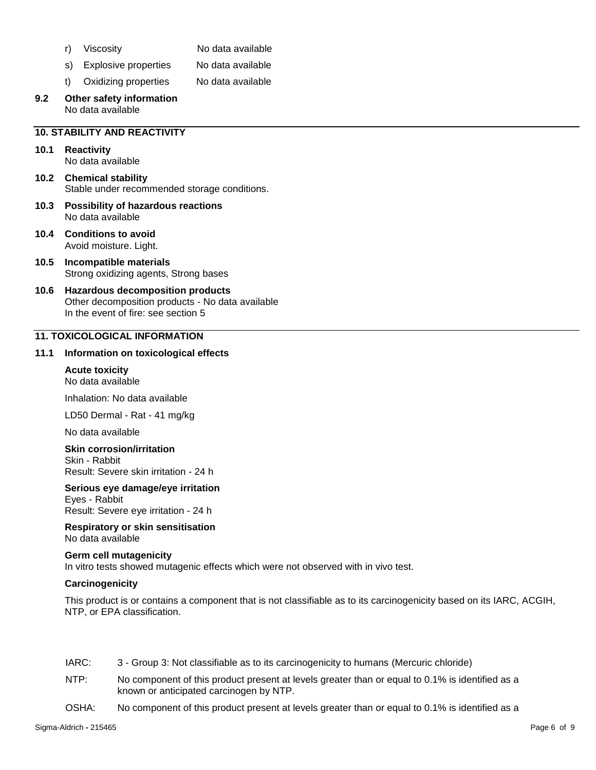- r) Viscosity No data available
- s) Explosive properties No data available
- t) Oxidizing properties No data available
- **9.2 Other safety information** No data available

## **10. STABILITY AND REACTIVITY**

## **10.1 Reactivity**

No data available

#### **10.2 Chemical stability** Stable under recommended storage conditions.

- **10.3 Possibility of hazardous reactions** No data available
- **10.4 Conditions to avoid** Avoid moisture. Light.
- **10.5 Incompatible materials** Strong oxidizing agents, Strong bases
- **10.6 Hazardous decomposition products** Other decomposition products - No data available In the event of fire: see section 5

## **11. TOXICOLOGICAL INFORMATION**

#### **11.1 Information on toxicological effects**

#### **Acute toxicity** No data available

Inhalation: No data available

LD50 Dermal - Rat - 41 mg/kg

No data available

#### **Skin corrosion/irritation**

Skin - Rabbit Result: Severe skin irritation - 24 h

#### **Serious eye damage/eye irritation**

Eyes - Rabbit Result: Severe eye irritation - 24 h

#### **Respiratory or skin sensitisation** No data available

#### **Germ cell mutagenicity**

In vitro tests showed mutagenic effects which were not observed with in vivo test.

#### **Carcinogenicity**

This product is or contains a component that is not classifiable as to its carcinogenicity based on its IARC, ACGIH, NTP, or EPA classification.

- IARC: 3 Group 3: Not classifiable as to its carcinogenicity to humans (Mercuric chloride)
- NTP: No component of this product present at levels greater than or equal to 0.1% is identified as a known or anticipated carcinogen by NTP.
- OSHA: No component of this product present at levels greater than or equal to 0.1% is identified as a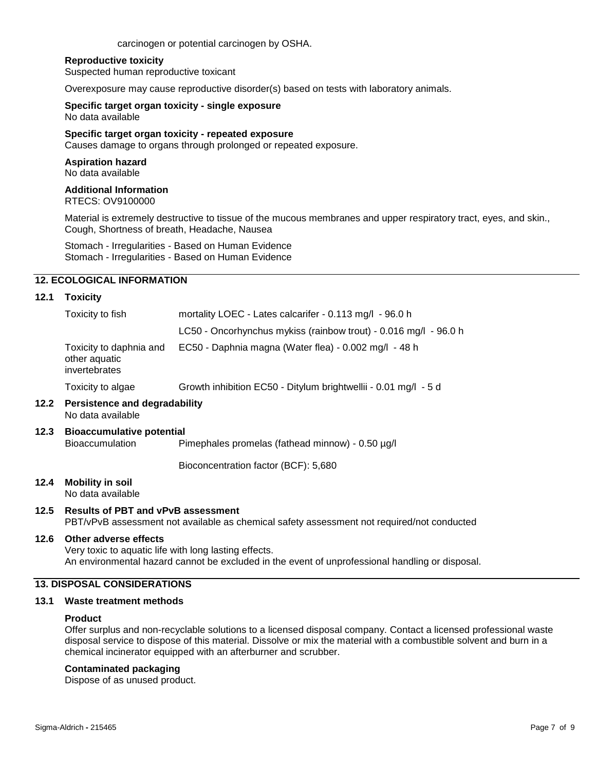carcinogen or potential carcinogen by OSHA.

#### **Reproductive toxicity**

Suspected human reproductive toxicant

Overexposure may cause reproductive disorder(s) based on tests with laboratory animals.

#### **Specific target organ toxicity - single exposure** No data available

#### **Specific target organ toxicity - repeated exposure**

Causes damage to organs through prolonged or repeated exposure.

#### **Aspiration hazard** No data available

## **Additional Information**

RTECS: OV9100000

Material is extremely destructive to tissue of the mucous membranes and upper respiratory tract, eyes, and skin., Cough, Shortness of breath, Headache, Nausea

Stomach - Irregularities - Based on Human Evidence Stomach - Irregularities - Based on Human Evidence

#### **12. ECOLOGICAL INFORMATION**

#### **12.1 Toxicity**

| Toxicity to fish                                          | mortality LOEC - Lates calcarifer - 0.113 mg/l - 96.0 h          |  |  |
|-----------------------------------------------------------|------------------------------------------------------------------|--|--|
|                                                           | LC50 - Oncorhynchus mykiss (rainbow trout) - 0.016 mg/l - 96.0 h |  |  |
| Toxicity to daphnia and<br>other aquatic<br>invertebrates | EC50 - Daphnia magna (Water flea) - 0.002 mg/l - 48 h            |  |  |
| Toxicity to algae                                         | Growth inhibition EC50 - Ditylum brightwellii - 0.01 mg/l - 5 d  |  |  |
|                                                           |                                                                  |  |  |

#### **12.2 Persistence and degradability** No data available

#### **12.3 Bioaccumulative potential** Pimephales promelas (fathead minnow) - 0.50 µg/l

Bioconcentration factor (BCF): 5,680

**12.4 Mobility in soil**

No data available

## **12.5 Results of PBT and vPvB assessment**

PBT/vPvB assessment not available as chemical safety assessment not required/not conducted

#### **12.6 Other adverse effects**

Very toxic to aquatic life with long lasting effects. An environmental hazard cannot be excluded in the event of unprofessional handling or disposal.

## **13. DISPOSAL CONSIDERATIONS**

#### **13.1 Waste treatment methods**

#### **Product**

Offer surplus and non-recyclable solutions to a licensed disposal company. Contact a licensed professional waste disposal service to dispose of this material. Dissolve or mix the material with a combustible solvent and burn in a chemical incinerator equipped with an afterburner and scrubber.

#### **Contaminated packaging**

Dispose of as unused product.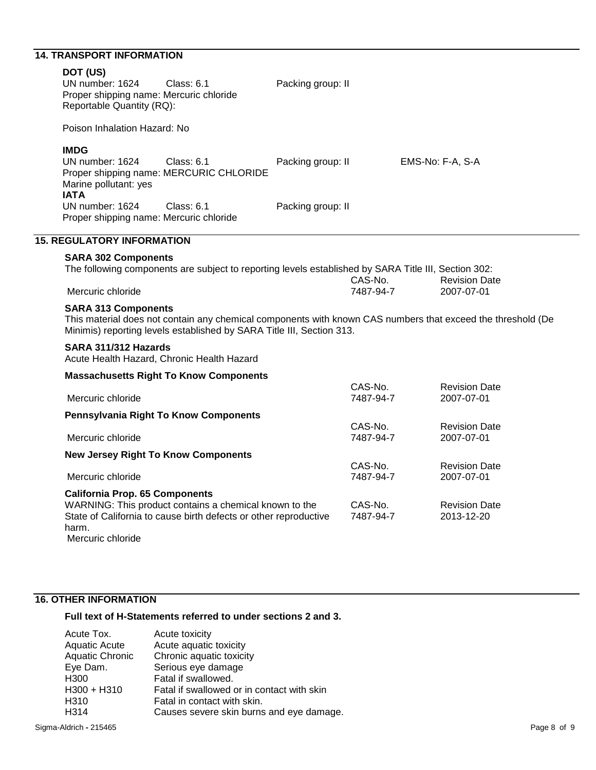## **14. TRANSPORT INFORMATION**

| DOT (US)<br>UN number: 1624<br>Proper shipping name: Mercuric chloride<br>Reportable Quantity (RQ): | <b>Class: 6.1</b>                                                                                                          | Packing group: II |                      |                                                                                                             |  |
|-----------------------------------------------------------------------------------------------------|----------------------------------------------------------------------------------------------------------------------------|-------------------|----------------------|-------------------------------------------------------------------------------------------------------------|--|
| Poison Inhalation Hazard: No                                                                        |                                                                                                                            |                   |                      |                                                                                                             |  |
| <b>IMDG</b><br>UN number: 1624<br>Marine pollutant: yes<br><b>IATA</b>                              | <b>Class: 6.1</b><br>Proper shipping name: MERCURIC CHLORIDE                                                               | Packing group: II |                      | EMS-No: F-A, S-A                                                                                            |  |
| UN number: 1624<br>Proper shipping name: Mercuric chloride                                          | Class: 6.1                                                                                                                 | Packing group: II |                      |                                                                                                             |  |
| <b>15. REGULATORY INFORMATION</b>                                                                   |                                                                                                                            |                   |                      |                                                                                                             |  |
| <b>SARA 302 Components</b><br>Mercuric chloride                                                     | The following components are subject to reporting levels established by SARA Title III, Section 302:                       |                   | CAS-No.<br>7487-94-7 | <b>Revision Date</b><br>2007-07-01                                                                          |  |
| <b>SARA 313 Components</b>                                                                          | Minimis) reporting levels established by SARA Title III, Section 313.                                                      |                   |                      | This material does not contain any chemical components with known CAS numbers that exceed the threshold (De |  |
| SARA 311/312 Hazards                                                                                | Acute Health Hazard, Chronic Health Hazard                                                                                 |                   |                      |                                                                                                             |  |
|                                                                                                     | <b>Massachusetts Right To Know Components</b>                                                                              |                   |                      |                                                                                                             |  |
| Mercuric chloride                                                                                   |                                                                                                                            |                   | CAS-No.<br>7487-94-7 | <b>Revision Date</b><br>2007-07-01                                                                          |  |
|                                                                                                     | Pennsylvania Right To Know Components                                                                                      |                   |                      |                                                                                                             |  |
| Mercuric chloride                                                                                   |                                                                                                                            |                   | CAS-No.<br>7487-94-7 | <b>Revision Date</b><br>2007-07-01                                                                          |  |
| <b>New Jersey Right To Know Components</b>                                                          |                                                                                                                            |                   |                      |                                                                                                             |  |
| Mercuric chloride                                                                                   |                                                                                                                            |                   | CAS-No.<br>7487-94-7 | <b>Revision Date</b><br>2007-07-01                                                                          |  |
| <b>California Prop. 65 Components</b><br>harm.<br>Mercuric chloride                                 | WARNING: This product contains a chemical known to the<br>State of California to cause birth defects or other reproductive |                   | CAS-No.<br>7487-94-7 | <b>Revision Date</b><br>2013-12-20                                                                          |  |

## **16. OTHER INFORMATION**

## **Full text of H-Statements referred to under sections 2 and 3.**

| Acute toxicity                             |
|--------------------------------------------|
| Acute aquatic toxicity                     |
| Chronic aquatic toxicity                   |
| Serious eye damage                         |
| Fatal if swallowed.                        |
| Fatal if swallowed or in contact with skin |
| Fatal in contact with skin.                |
| Causes severe skin burns and eye damage.   |
|                                            |